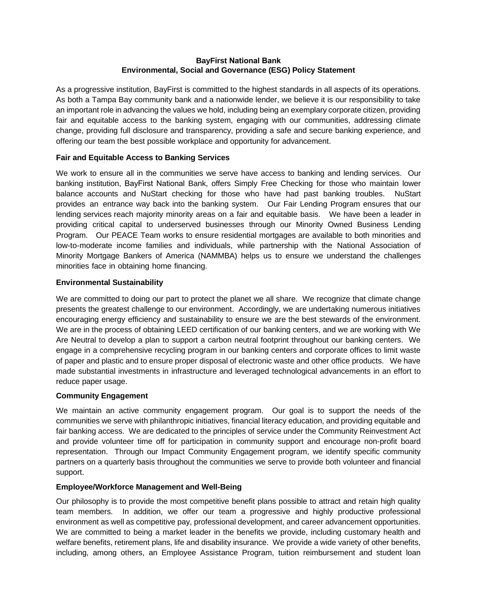### **BayFirst National Bank Environmental, Social and Governance (ESG) Policy Statement**

As a progressive institution, BayFirst is committed to the highest standards in all aspects of its operations. As both a Tampa Bay community bank and a nationwide lender, we believe it is our responsibility to take an important role in advancing the values we hold, including being an exemplary corporate citizen, providing fair and equitable access to the banking system, engaging with our communities, addressing climate change, providing full disclosure and transparency, providing a safe and secure banking experience, and offering our team the best possible workplace and opportunity for advancement.

# **Fair and Equitable Access to Banking Services**

We work to ensure all in the communities we serve have access to banking and lending services. Our banking institution, BayFirst National Bank, offers Simply Free Checking for those who maintain lower balance accounts and NuStart checking for those who have had past banking troubles. NuStart provides an entrance way back into the banking system. Our Fair Lending Program ensures that our lending services reach majority minority areas on a fair and equitable basis. We have been a leader in providing critical capital to underserved businesses through our Minority Owned Business Lending Program. Our PEACE Team works to ensure residential mortgages are available to both minorities and low-to-moderate income families and individuals, while partnership with the National Association of Minority Mortgage Bankers of America (NAMMBA) helps us to ensure we understand the challenges minorities face in obtaining home financing.

# **Environmental Sustainability**

We are committed to doing our part to protect the planet we all share. We recognize that climate change presents the greatest challenge to our environment. Accordingly, we are undertaking numerous initiatives encouraging energy efficiency and sustainability to ensure we are the best stewards of the environment. We are in the process of obtaining LEED certification of our banking centers, and we are working with We Are Neutral to develop a plan to support a carbon neutral footprint throughout our banking centers. We engage in a comprehensive recycling program in our banking centers and corporate offices to limit waste of paper and plastic and to ensure proper disposal of electronic waste and other office products. We have made substantial investments in infrastructure and leveraged technological advancements in an effort to reduce paper usage.

### **Community Engagement**

We maintain an active community engagement program. Our goal is to support the needs of the communities we serve with philanthropic initiatives, financial literacy education, and providing equitable and fair banking access. We are dedicated to the principles of service under the Community Reinvestment Act and provide volunteer time off for participation in community support and encourage non-profit board representation. Through our Impact Community Engagement program, we identify specific community partners on a quarterly basis throughout the communities we serve to provide both volunteer and financial support.

### **Employee/Workforce Management and Well-Being**

Our philosophy is to provide the most competitive benefit plans possible to attract and retain high quality team members. In addition, we offer our team a progressive and highly productive professional environment as well as competitive pay, professional development, and career advancement opportunities. We are committed to being a market leader in the benefits we provide, including customary health and welfare benefits, retirement plans, life and disability insurance. We provide a wide variety of other benefits, including, among others, an Employee Assistance Program, tuition reimbursement and student loan